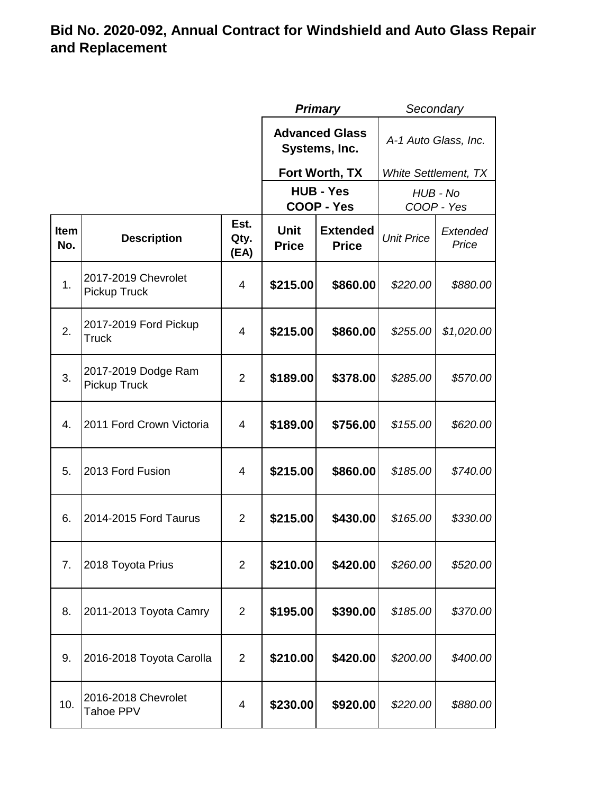|                    |                                            |                      |                                        | <b>Primary</b>                  |                             | Secondary         |  |
|--------------------|--------------------------------------------|----------------------|----------------------------------------|---------------------------------|-----------------------------|-------------------|--|
|                    |                                            |                      | <b>Advanced Glass</b><br>Systems, Inc. |                                 | A-1 Auto Glass, Inc.        |                   |  |
|                    |                                            |                      |                                        | Fort Worth, TX                  | <b>White Settlement, TX</b> |                   |  |
|                    |                                            |                      |                                        | <b>HUB - Yes</b>                |                             | HUB - No          |  |
|                    |                                            |                      |                                        | <b>COOP - Yes</b>               | COOP - Yes                  |                   |  |
| <b>Item</b><br>No. | <b>Description</b>                         | Est.<br>Qty.<br>(EA) | <b>Unit</b><br><b>Price</b>            | <b>Extended</b><br><b>Price</b> | <b>Unit Price</b>           | Extended<br>Price |  |
| 1.                 | 2017-2019 Chevrolet<br><b>Pickup Truck</b> | 4                    | \$215.00                               | \$860.00                        | \$220.00                    | \$880.00          |  |
| 2.                 | 2017-2019 Ford Pickup<br><b>Truck</b>      | 4                    | \$215.00                               | \$860.00                        | \$255.00                    | \$1,020.00        |  |
| 3.                 | 2017-2019 Dodge Ram<br><b>Pickup Truck</b> | 2                    | \$189.00                               | \$378.00                        | \$285.00                    | \$570.00          |  |
| 4.                 | 2011 Ford Crown Victoria                   | 4                    | \$189.00                               | \$756.00                        | \$155.00                    | \$620.00          |  |
| 5.                 | 2013 Ford Fusion                           | 4                    | \$215.00                               | \$860.00                        | \$185.00                    | \$740.00          |  |
| 6.                 | 2014-2015 Ford Taurus                      | 2                    | \$215.00                               | \$430.00                        | \$165.00                    | \$330.00          |  |
| 7.                 | 2018 Toyota Prius                          | $\overline{2}$       | \$210.00                               | \$420.00                        | \$260.00                    | \$520.00          |  |
| 8.                 | 2011-2013 Toyota Camry                     | $\overline{2}$       | \$195.00                               | \$390.00                        | \$185.00                    | \$370.00          |  |
| 9.                 | 2016-2018 Toyota Carolla                   | $\overline{2}$       | \$210.00                               | \$420.00                        | \$200.00                    | \$400.00          |  |
| 10.                | 2016-2018 Chevrolet<br>Tahoe PPV           | 4                    | \$230.00                               | \$920.00                        | \$220.00                    | \$880.00          |  |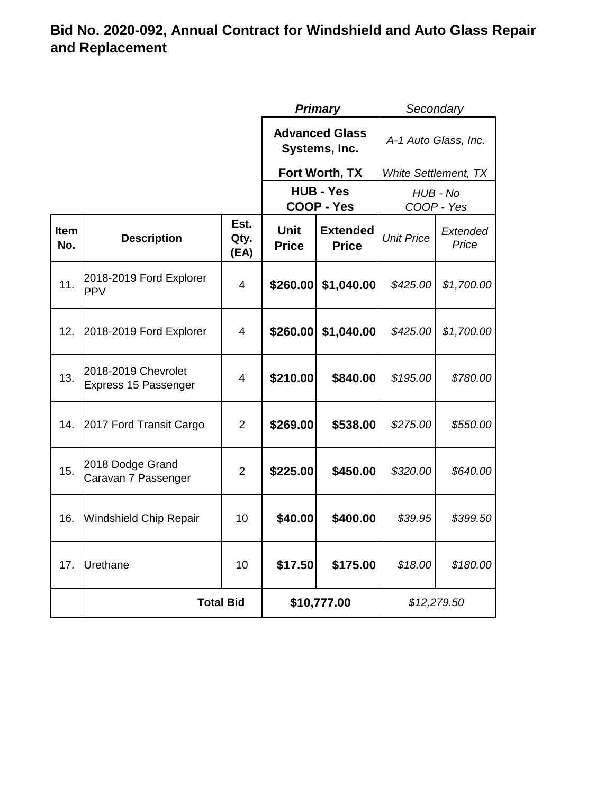|             |                                             |                      | <b>Primary</b>                         |                                 | Secondary                   |                   |
|-------------|---------------------------------------------|----------------------|----------------------------------------|---------------------------------|-----------------------------|-------------------|
|             |                                             |                      | <b>Advanced Glass</b><br>Systems, Inc. |                                 | A-1 Auto Glass, Inc.        |                   |
|             |                                             |                      |                                        | Fort Worth, TX                  | <b>White Settlement, TX</b> |                   |
|             |                                             |                      | <b>HUB - Yes</b><br><b>COOP - Yes</b>  |                                 | HUB - No<br>COOP - Yes      |                   |
| Item<br>No. | <b>Description</b>                          | Est.<br>Qty.<br>(EA) | <b>Unit</b><br><b>Price</b>            | <b>Extended</b><br><b>Price</b> | <b>Unit Price</b>           | Extended<br>Price |
| 11.         | 2018-2019 Ford Explorer<br><b>PPV</b>       | 4                    | \$260.00                               | \$1,040.00                      | \$425.00                    | \$1,700.00        |
| 12.         | 2018-2019 Ford Explorer                     | $\overline{4}$       | \$260.00                               | \$1,040.00                      | \$425.00                    | \$1,700.00        |
| 13.         | 2018-2019 Chevrolet<br>Express 15 Passenger | 4                    | \$210.00                               | \$840.00                        | \$195.00                    | \$780.00          |
| 14.         | 2017 Ford Transit Cargo                     | $\overline{2}$       | \$269.00                               | \$538.00                        | \$275.00                    | \$550.00          |
| 15.         | 2018 Dodge Grand<br>Caravan 7 Passenger     | $\overline{2}$       | \$225.00                               | \$450.00                        | \$320.00                    | \$640.00          |
| 16.         | Windshield Chip Repair                      | 10                   | \$40.00                                | \$400.00                        | \$39.95                     | \$399.50          |
| 17.         | Urethane                                    | 10                   | \$17.50                                | \$175.00                        | \$18.00                     | \$180.00          |
|             | <b>Total Bid</b>                            |                      | \$10,777.00                            |                                 | \$12,279.50                 |                   |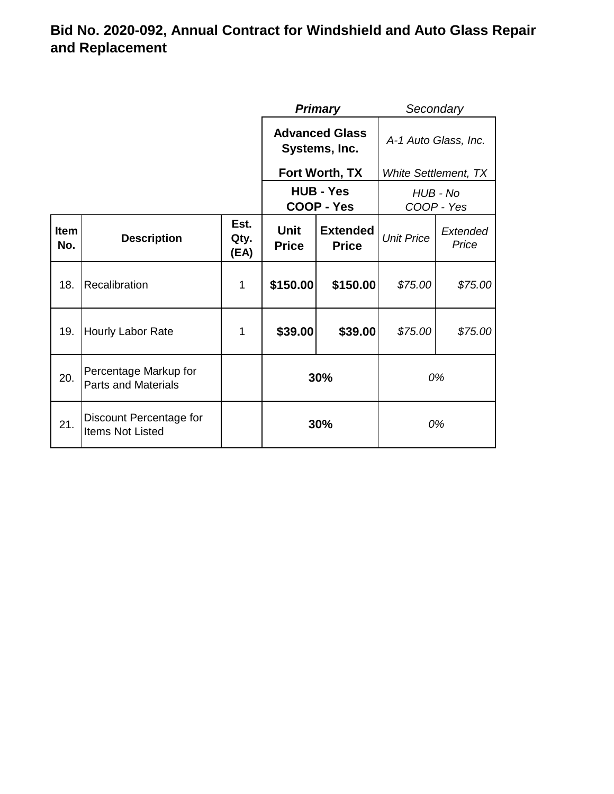|                    |                                                     |                      | Secondary<br><b>Primary</b>                                    |                |                        |                   |
|--------------------|-----------------------------------------------------|----------------------|----------------------------------------------------------------|----------------|------------------------|-------------------|
|                    |                                                     |                      | <b>Advanced Glass</b><br>Systems, Inc.                         |                | A-1 Auto Glass, Inc.   |                   |
|                    |                                                     |                      |                                                                | Fort Worth, TX | White Settlement, TX   |                   |
|                    |                                                     |                      | <b>HUB - Yes</b><br><b>COOP - Yes</b>                          |                | HUB - No<br>COOP - Yes |                   |
| <b>Item</b><br>No. | <b>Description</b>                                  | Est.<br>Qty.<br>(EA) | <b>Unit</b><br><b>Extended</b><br><b>Price</b><br><b>Price</b> |                | <b>Unit Price</b>      | Extended<br>Price |
| 18.                | Recalibration                                       | 1                    | \$150.00                                                       | \$150.00       | \$75.00                | \$75.00           |
| 19.                | <b>Hourly Labor Rate</b>                            | 1                    | \$39.00                                                        | \$39.00        | \$75.00                | \$75.00           |
| 20.                | Percentage Markup for<br><b>Parts and Materials</b> |                      | 30%                                                            |                | 0%                     |                   |
| 21.                | Discount Percentage for<br><b>Items Not Listed</b>  |                      | 30%                                                            |                |                        | 0%                |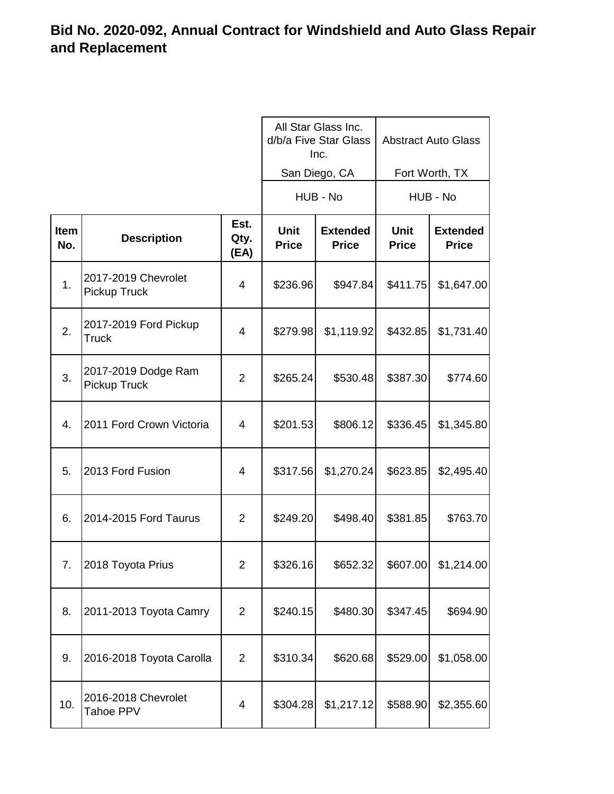|             |                                       |                      | All Star Glass Inc.<br>d/b/a Five Star Glass<br>Inc. |                                 | <b>Abstract Auto Glass</b>  |                                 |
|-------------|---------------------------------------|----------------------|------------------------------------------------------|---------------------------------|-----------------------------|---------------------------------|
|             |                                       |                      |                                                      | San Diego, CA                   | Fort Worth, TX              |                                 |
|             |                                       |                      |                                                      | HUB - No                        |                             | HUB - No                        |
| Item<br>No. | <b>Description</b>                    | Est.<br>Qty.<br>(EA) | <b>Unit</b><br><b>Price</b>                          | <b>Extended</b><br><b>Price</b> | <b>Unit</b><br><b>Price</b> | <b>Extended</b><br><b>Price</b> |
| 1.          | 2017-2019 Chevrolet<br>Pickup Truck   | $\overline{4}$       | \$236.96                                             | \$947.84                        | \$411.75                    | \$1,647.00                      |
| 2.          | 2017-2019 Ford Pickup<br><b>Truck</b> | $\overline{4}$       | \$279.98                                             | \$1,119.92                      | \$432.85                    | \$1,731.40                      |
| 3.          | 2017-2019 Dodge Ram<br>Pickup Truck   | 2                    | \$265.24                                             | \$530.48                        | \$387.30                    | \$774.60                        |
| 4.          | 2011 Ford Crown Victoria              | $\overline{4}$       | \$201.53                                             | \$806.12                        | \$336.45                    | \$1,345.80                      |
| 5.          | 2013 Ford Fusion                      | 4                    | \$317.56                                             | \$1,270.24                      | \$623.85                    | \$2,495.40                      |
| 6.          | 2014-2015 Ford Taurus                 | 2                    | \$249.20                                             | \$498.40                        | \$381.85                    | \$763.70                        |
| 7.          | 2018 Toyota Prius                     | 2                    | \$326.16                                             | \$652.32                        | \$607.00                    | \$1,214.00                      |
| 8.          | 2011-2013 Toyota Camry                | 2                    | \$240.15                                             | \$480.30                        | \$347.45                    | \$694.90                        |
| 9.          | 2016-2018 Toyota Carolla              | $\overline{2}$       | \$310.34                                             | \$620.68                        | \$529.00                    | \$1,058.00                      |
| 10.         | 2016-2018 Chevrolet<br>Tahoe PPV      | $\overline{4}$       | \$304.28                                             | \$1,217.12                      | \$588.90                    | \$2,355.60                      |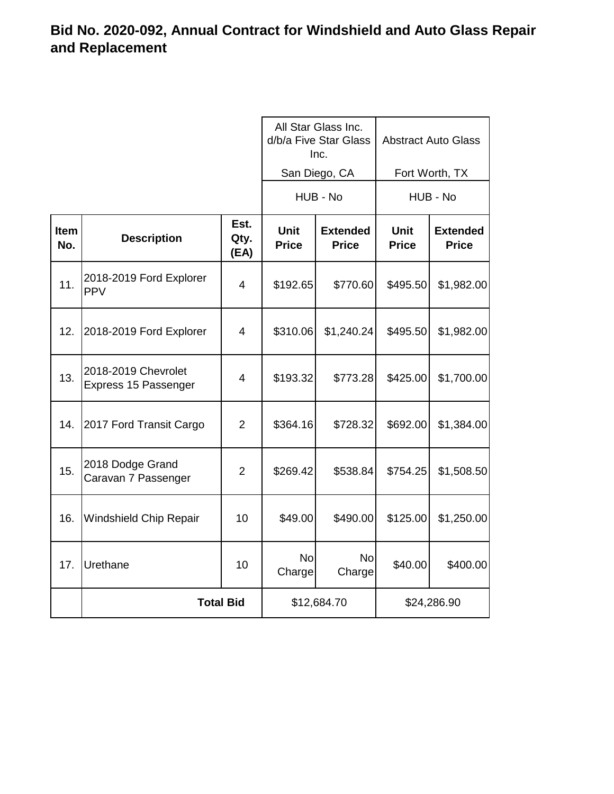|             |                                             |                      | All Star Glass Inc.<br>d/b/a Five Star Glass<br>Inc. |                                 | <b>Abstract Auto Glass</b>  |                                 |
|-------------|---------------------------------------------|----------------------|------------------------------------------------------|---------------------------------|-----------------------------|---------------------------------|
|             |                                             |                      |                                                      | San Diego, CA                   | Fort Worth, TX              |                                 |
|             |                                             |                      |                                                      | HUB - No                        | HUB - No                    |                                 |
| Item<br>No. | <b>Description</b>                          | Est.<br>Qty.<br>(EA) | <b>Unit</b><br><b>Price</b>                          | <b>Extended</b><br><b>Price</b> | <b>Unit</b><br><b>Price</b> | <b>Extended</b><br><b>Price</b> |
| 11.         | 2018-2019 Ford Explorer<br><b>PPV</b>       | 4                    | \$192.65                                             | \$770.60                        | \$495.50                    | \$1,982.00                      |
| 12.         | 2018-2019 Ford Explorer                     | 4                    | \$310.06                                             | \$1,240.24                      | \$495.50                    | \$1,982.00                      |
| 13.         | 2018-2019 Chevrolet<br>Express 15 Passenger | 4                    | \$193.32                                             | \$773.28                        | \$425.00                    | \$1,700.00                      |
| 14.         | 2017 Ford Transit Cargo                     | $\overline{2}$       | \$364.16                                             | \$728.32                        | \$692.00                    | \$1,384.00                      |
| 15.         | 2018 Dodge Grand<br>Caravan 7 Passenger     | 2                    | \$269.42                                             | \$538.84                        | \$754.25                    | \$1,508.50                      |
| 16.         | <b>Windshield Chip Repair</b>               | 10                   | \$49.00                                              | \$490.00                        | \$125.00                    | \$1,250.00                      |
| 17.         | Urethane                                    | 10                   | <b>No</b><br>Charge                                  | <b>No</b><br>Charge             | \$40.00                     | \$400.00                        |
|             | <b>Total Bid</b>                            |                      | \$12,684.70                                          |                                 | \$24,286.90                 |                                 |